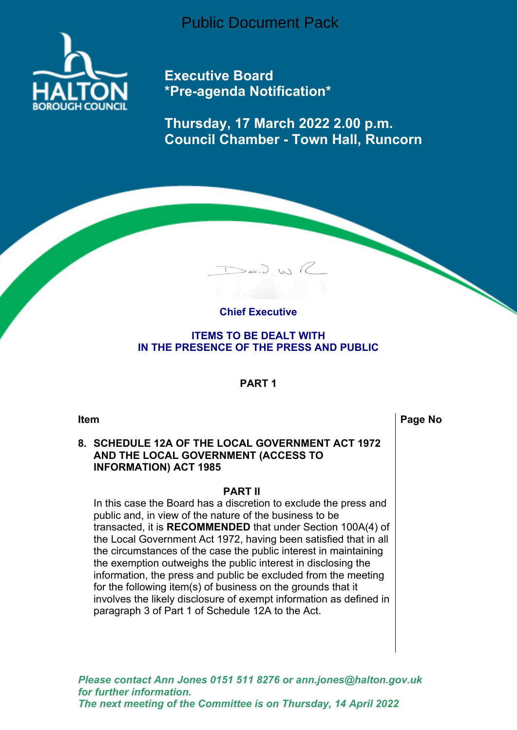Public Document Pack



**Executive Board \*Pre-agenda Notification\***

**Thursday, 17 March 2022 2.00 p.m. Council Chamber - Town Hall, Runcorn**



 $D$ an,  $D$ , W)  $R$ 

**ITEMS TO BE DEALT WITH IN THE PRESENCE OF THE PRESS AND PUBLIC**

## **PART 1**

**Item Page No**

## **8. SCHEDULE 12A OF THE LOCAL GOVERNMENT ACT 1972 AND THE LOCAL GOVERNMENT (ACCESS TO INFORMATION) ACT 1985**

#### **PART II**

In this case the Board has a discretion to exclude the press and public and, in view of the nature of the business to be transacted, it is **RECOMMENDED** that under Section 100A(4) of the Local Government Act 1972, having been satisfied that in all the circumstances of the case the public interest in maintaining the exemption outweighs the public interest in disclosing the information, the press and public be excluded from the meeting for the following item(s) of business on the grounds that it involves the likely disclosure of exempt information as defined in paragraph 3 of Part 1 of Schedule 12A to the Act.

*Please contact Ann Jones 0151 511 8276 or ann.jones@halton.gov.uk for further information. The next meeting of the Committee is on Thursday, 14 April 2022*